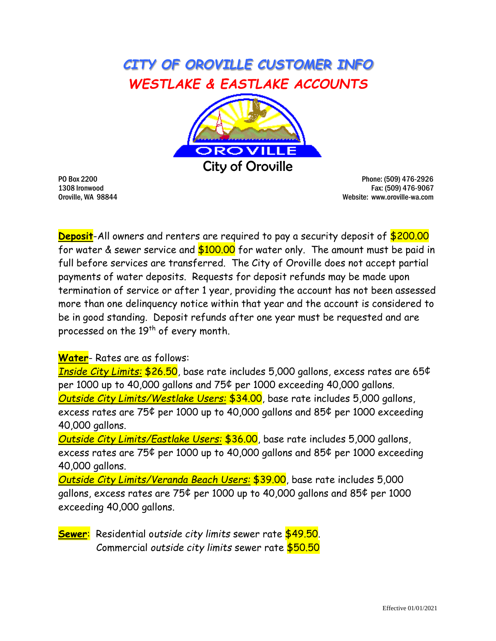## *CITY OF OROVILLE CUSTOMER INFO WESTLAKE & EASTLAKE ACCOUNTS*



PO Box 2200 Phone: (509) 476-2926 1308 Ironwood Fax: (509) 476-9067 Oroville, WA 98844 Website: www.oroville-wa.com

**Deposit**-All owners and renters are required to pay a security deposit of \$200.00 for water & sewer service and  $$100.00$  for water only. The amount must be paid in full before services are transferred. The City of Oroville does not accept partial payments of water deposits. Requests for deposit refunds may be made upon termination of service or after 1 year, providing the account has not been assessed more than one delinquency notice within that year and the account is considered to be in good standing. Deposit refunds after one year must be requested and are processed on the 19<sup>th</sup> of every month.

**Water**- Rates are as follows:

*Inside City Limits:* \$26.50, base rate includes 5,000 gallons, excess rates are 65¢ per 1000 up to 40,000 gallons and 75¢ per 1000 exceeding 40,000 gallons. *Outside City Limits/Westlake Users:* \$34.00, base rate includes 5,000 gallons, excess rates are 75¢ per 1000 up to 40,000 gallons and 85¢ per 1000 exceeding 40,000 gallons.

*Outside City Limits/Eastlake Users:* \$36.00, base rate includes 5,000 gallons, excess rates are 75¢ per 1000 up to 40,000 gallons and 85¢ per 1000 exceeding 40,000 gallons.

*Outside City Limits/Veranda Beach Users:* \$39.00, base rate includes 5,000 gallons, excess rates are 75¢ per 1000 up to 40,000 gallons and 85¢ per 1000 exceeding 40,000 gallons.

**Sewer**: Residential o*utside city limits* sewer rate \$49.50. Commercial *outside city limits* sewer rate \$50.50